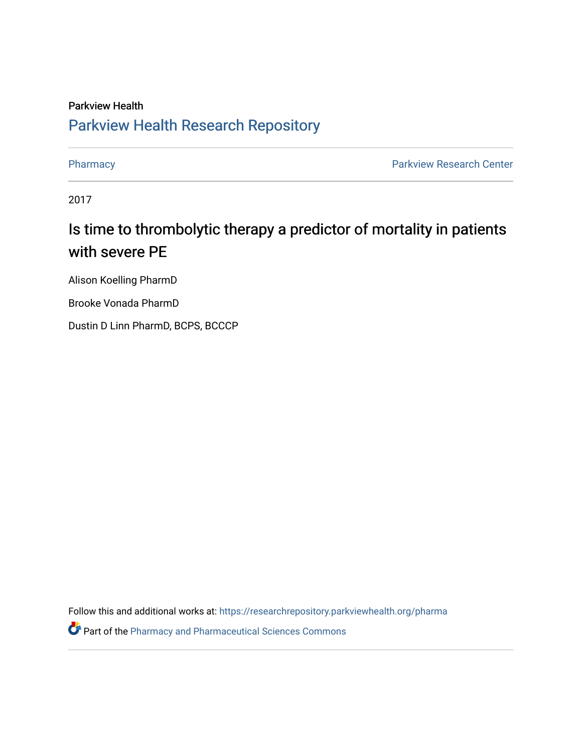#### Parkview Health [Parkview Health Research Repository](https://researchrepository.parkviewhealth.org/)

[Pharmacy](https://researchrepository.parkviewhealth.org/pharma) **Pharmacy Pharmacy Pharmacy Pharmacy Pharmacy Pharmacy Pharmacy Pharmacy Pharmacy Pharmacy Pharmacy Pharmacy Pharmacy Pharmacy Pharmacy Pharmacy Pharmacy Pharmacy Pharmacy Pha** 

2017

#### Is time to thrombolytic therapy a predictor of mortality in patients with severe PE

Alison Koelling PharmD

Brooke Vonada PharmD

Dustin D Linn PharmD, BCPS, BCCCP

Follow this and additional works at: [https://researchrepository.parkviewhealth.org/pharma](https://researchrepository.parkviewhealth.org/pharma?utm_source=researchrepository.parkviewhealth.org%2Fpharma%2F23&utm_medium=PDF&utm_campaign=PDFCoverPages) 

**P** Part of the [Pharmacy and Pharmaceutical Sciences Commons](http://network.bepress.com/hgg/discipline/731?utm_source=researchrepository.parkviewhealth.org%2Fpharma%2F23&utm_medium=PDF&utm_campaign=PDFCoverPages)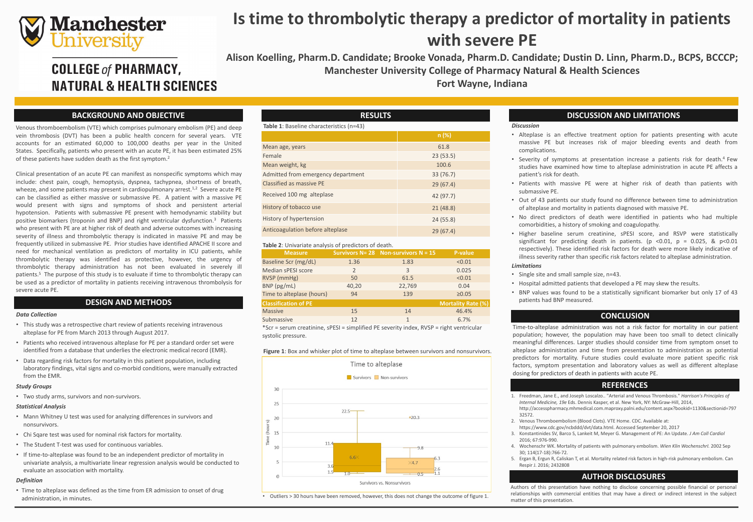# **Manchester**<br>University

## **COLLEGE of PHARMACY, NATURAL & HEALTH SCIENCES**

Venous thromboembolism (VTE) which comprises pulmonary embolism (PE) and deep vein thrombosis (DVT) has been a public health concern for several years. VTE accounts for an estimated 60,000 to 100,000 deaths per year in the United States. Specifically, patients who present with an acute PE, it has been estimated 25% of these patients have sudden death as the first symptom. 2

Clinical presentation of an acute PE can manifest as nonspecific symptoms which may include: chest pain, cough, hemoptysis, dyspnea, tachypnea, shortness of breath, wheeze, and some patients may present in cardiopulmonary arrest.<sup>1,2</sup> Severe acute PE can be classified as either massive or submassive PE. A patient with a massive PE would present with signs and symptoms of shock and persistent arterial hypotension. Patients with submassive PE present with hemodynamic stability but positive biomarkers (troponin and BNP) and right ventricular dysfunction. <sup>3</sup> Patients who present with PE are at higher risk of death and adverse outcomes with increasing severity of illness and thrombolytic therapy is indicated in massive PE and may be frequently utilized in submassive PE. Prior studies have identified APACHE II score and need for mechanical ventilation as predictors of mortality in ICU patients, while thrombolytic therapy was identified as protective, however, the urgency of thrombolytic therapy administration has not been evaluated in severely ill patients.<sup>5</sup> The purpose of this study is to evaluate if time to thrombolytic therapy can be used as a predictor of mortality in patients receiving intravenous thrombolysis for severe acute PE.

- This study was a retrospective chart review of patients receiving intravenous alteplase for PE from March 2013 through August 2017.
- Patients who received intravenous alteplase for PE per a standard order set were identified from a database that underlies the electronic medical record (EMR).
- Data regarding risk factors for mortality in this patient population, including laboratory findings, vital signs and co-morbid conditions, were manually extracted from the EMR.

- Mann Whitney U test was used for analyzing differences in survivors and nonsurvivors.
- Chi Sqare test was used for nominal risk factors for mortality.
- The Student T-test was used for continuous variables.
- If time-to-alteplase was found to be an independent predictor of mortality in univariate analysis, a multivariate linear regression analysis would be conducted to evaluate an association with mortality.

• Time to alteplase was defined as the time from ER admission to onset of drug administration, in minutes.

1. Freedman, Jane E., and Joseph Loscalzo.. "Arterial and Venous Thrombosis." *Harrison's Principles of Internal Medicine, 19e* Eds. Dennis Kasper, et al. New York, NY: McGraw-Hill, 2014, http://accesspharmacy.mhmedical.com.maproxy.palni.edu/content.aspx?bookid=1130&sectionid=797

# **Is time to thrombolytic therapy a predictor of mortality in patients with severe PE**

**Alison Koelling, Pharm.D. Candidate; Brooke Vonada, Pharm.D. Candidate; Dustin D. Linn, Pharm.D., BCPS, BCCCP; Manchester University College of Pharmacy Natural & Health Sciences Fort Wayne, Indiana**

## **BACKGROUND AND OBJECTIVE**

## **AUTHOR DISCLOSURES**

## **DISCUSSION AND LIMITATIONS**

## **DESIGN AND METHODS**

### *Data Collection*

### *Study Groups*

• Two study arms, survivors and non-survivors.

### *Statistical Analysis*

### *Definition*

## **Figure 1**: Box and whisker plot of time to alteplase between survivors and nonsurvivors.



## **REFERENCES**

2. Venous Thromboembolism (Blood Clots). VTE Home. CDC. Available at: https://www.cdc.gov/ncbddd/dvt/data.html. Accessed September 20, 2017 3. Konstantinides SV, Barco S, Lankeit M, Meyer G. Management of PE: An Update. *J Am Coll Cardiol*

- 32572.
- 
- 2016; 67:976-990.
- 30; 114(17-18):766-72.
- Respir J. 2016; 2432808

4. Wochenschr WK. Mortality of patients with pulmonary embolism. *Wien Klin WochenschrI.* 2002 Sep

5. Ergan B, Ergun R, Caliskan T, et al. Mortality related risk factors in high-risk pulmonary embolism. Can

### *Discussion*

• Alteplase is an effective treatment option for patients presenting with acute massive PE but increases risk of major bleeding events and death from

• Severity of symptoms at presentation increase a patients risk for death. <sup>4</sup> Few studies have examined how time to alteplase administration in acute PE affects a

- complications.
- patient's risk for death.
- submassive PE.
- 
- 
- 

• Patients with massive PE were at higher risk of death than patients with

• Out of 43 patients our study found no difference between time to administration of alteplase and mortality in patients diagnosed with massive PE.

• No direct predictors of death were identified in patients who had multiple comorbidities, a history of smoking and coagulopathy.

• Higher baseline serum creatinine, sPESI score, and RSVP were statistically significant for predicting death in patients. (p <0.01, p = 0.025, & p<0.01 respectively). These identified risk factors for death were more likely indicative of illness severity rather than specific risk factors related to alteplase administration.

### *Limitations*

• Single site and small sample size, n=43.

• Hospital admitted patients that developed a PE may skew the results.

• BNP values was found to be a statistically significant biomarker but only 17 of 43

- 
- 
- patients had BNP measured.

Authors of this presentation have nothing to disclose concerning possible financial or personal relationships with commercial entities that may have a direct or indirect interest in the subject matter of this presentation.

| Table 1: Baseline characteristics (n=43) |           |  |  |  |
|------------------------------------------|-----------|--|--|--|
|                                          | n(%)      |  |  |  |
| Mean age, years                          | 61.8      |  |  |  |
| Female                                   | 23(53.5)  |  |  |  |
| Mean weight, kg                          | 100.6     |  |  |  |
| Admitted from emergency department       | 33 (76.7) |  |  |  |
| <b>Classified as massive PE</b>          | 29(67.4)  |  |  |  |
| Received 100 mg alteplase                | 42 (97.7) |  |  |  |
| History of tobacco use                   | 21(48.8)  |  |  |  |
| <b>History of hypertension</b>           | 24(55.8)  |  |  |  |
| <b>Anticoagulation before alteplase</b>  | 29(67.4)  |  |  |  |

## **RESULTS**

#### **Table 1**: Baseline characteristics (n=43)

Mean age, years

Mean weight, kg

| <b>Measure</b>                                                                          |                | Survivors $N = 28$ Non-survivors $N = 15$ | <b>P-value</b>            |  |
|-----------------------------------------------------------------------------------------|----------------|-------------------------------------------|---------------------------|--|
| Baseline Scr (mg/dL)                                                                    | 1.36           | 1.83                                      | < 0.01                    |  |
| Median sPESI score                                                                      | $\overline{2}$ | 3                                         | 0.025                     |  |
| RVSP (mmHg)                                                                             | 50             | 61.5                                      | < 0.01                    |  |
| BNP (pg/mL)                                                                             | 40,20          | 22,769                                    | 0.04                      |  |
| Time to alteplase (hours)                                                               | 94             | 139                                       | $\geq 0.05$               |  |
| <b>Classification of PE</b>                                                             |                |                                           | <b>Mortality Rate (%)</b> |  |
| <b>Massive</b>                                                                          | 15             | 14                                        | 46.4%                     |  |
| Submassive                                                                              | 12             | $\overline{1}$                            | 6.7%                      |  |
| *Scr = serum creatinine, sPESI = simplified PE severity index, RVSP = right ventricular |                |                                           |                           |  |

systolic pressure.

#### **Table 2**: Univariate analysis of predictors of death.

## **CONCLUSION**

Time-to-alteplase administration was not a risk factor for mortality in our patient population; however, the population may have been too small to detect clinically meaningful differences. Larger studies should consider time from symptom onset to alteplase administration and time from presentation to administration as potential predictors for mortality. Future studies could evaluate more patient specific risk factors, symptom presentation and laboratory values as well as different alteplase dosing for predictors of death in patients with acute PE.

• Outliers > 30 hours have been removed, however, this does not change the outcome of figure 1.